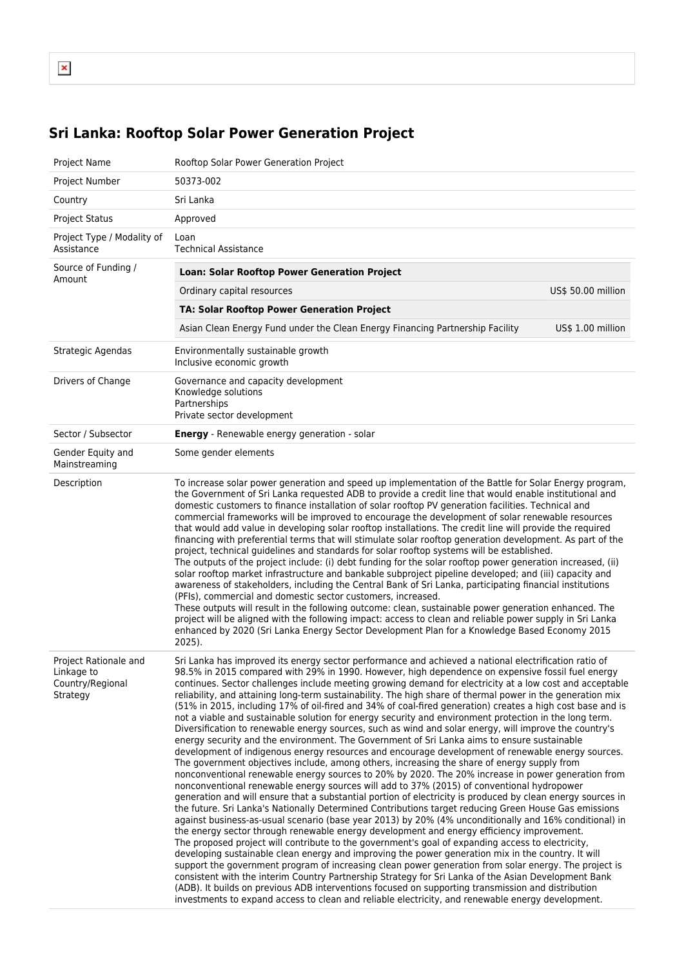## **Sri Lanka: Rooftop Solar Power Generation Project**

| Project Name                                                        | Rooftop Solar Power Generation Project                                                                                                                                                                                                                                                                                                                                                                                                                                                                                                                                                                                                                                                                                                                                                                                                                                                                                                                                                                                                                                                                                                                                                                                                                                                                                                                                                                                                                                                                                                                                                                                                                                                                                                                                                                                                                                                                                                                                                                                                                                                                                                                                                                                                                                                                                                              |
|---------------------------------------------------------------------|-----------------------------------------------------------------------------------------------------------------------------------------------------------------------------------------------------------------------------------------------------------------------------------------------------------------------------------------------------------------------------------------------------------------------------------------------------------------------------------------------------------------------------------------------------------------------------------------------------------------------------------------------------------------------------------------------------------------------------------------------------------------------------------------------------------------------------------------------------------------------------------------------------------------------------------------------------------------------------------------------------------------------------------------------------------------------------------------------------------------------------------------------------------------------------------------------------------------------------------------------------------------------------------------------------------------------------------------------------------------------------------------------------------------------------------------------------------------------------------------------------------------------------------------------------------------------------------------------------------------------------------------------------------------------------------------------------------------------------------------------------------------------------------------------------------------------------------------------------------------------------------------------------------------------------------------------------------------------------------------------------------------------------------------------------------------------------------------------------------------------------------------------------------------------------------------------------------------------------------------------------------------------------------------------------------------------------------------------------|
| Project Number                                                      | 50373-002                                                                                                                                                                                                                                                                                                                                                                                                                                                                                                                                                                                                                                                                                                                                                                                                                                                                                                                                                                                                                                                                                                                                                                                                                                                                                                                                                                                                                                                                                                                                                                                                                                                                                                                                                                                                                                                                                                                                                                                                                                                                                                                                                                                                                                                                                                                                           |
| Country                                                             | Sri Lanka                                                                                                                                                                                                                                                                                                                                                                                                                                                                                                                                                                                                                                                                                                                                                                                                                                                                                                                                                                                                                                                                                                                                                                                                                                                                                                                                                                                                                                                                                                                                                                                                                                                                                                                                                                                                                                                                                                                                                                                                                                                                                                                                                                                                                                                                                                                                           |
| <b>Project Status</b>                                               | Approved                                                                                                                                                                                                                                                                                                                                                                                                                                                                                                                                                                                                                                                                                                                                                                                                                                                                                                                                                                                                                                                                                                                                                                                                                                                                                                                                                                                                                                                                                                                                                                                                                                                                                                                                                                                                                                                                                                                                                                                                                                                                                                                                                                                                                                                                                                                                            |
| Project Type / Modality of<br>Assistance                            | Loan<br><b>Technical Assistance</b>                                                                                                                                                                                                                                                                                                                                                                                                                                                                                                                                                                                                                                                                                                                                                                                                                                                                                                                                                                                                                                                                                                                                                                                                                                                                                                                                                                                                                                                                                                                                                                                                                                                                                                                                                                                                                                                                                                                                                                                                                                                                                                                                                                                                                                                                                                                 |
| Source of Funding /<br>Amount                                       | Loan: Solar Rooftop Power Generation Project                                                                                                                                                                                                                                                                                                                                                                                                                                                                                                                                                                                                                                                                                                                                                                                                                                                                                                                                                                                                                                                                                                                                                                                                                                                                                                                                                                                                                                                                                                                                                                                                                                                                                                                                                                                                                                                                                                                                                                                                                                                                                                                                                                                                                                                                                                        |
|                                                                     | US\$ 50.00 million<br>Ordinary capital resources                                                                                                                                                                                                                                                                                                                                                                                                                                                                                                                                                                                                                                                                                                                                                                                                                                                                                                                                                                                                                                                                                                                                                                                                                                                                                                                                                                                                                                                                                                                                                                                                                                                                                                                                                                                                                                                                                                                                                                                                                                                                                                                                                                                                                                                                                                    |
|                                                                     | TA: Solar Rooftop Power Generation Project                                                                                                                                                                                                                                                                                                                                                                                                                                                                                                                                                                                                                                                                                                                                                                                                                                                                                                                                                                                                                                                                                                                                                                                                                                                                                                                                                                                                                                                                                                                                                                                                                                                                                                                                                                                                                                                                                                                                                                                                                                                                                                                                                                                                                                                                                                          |
|                                                                     | Asian Clean Energy Fund under the Clean Energy Financing Partnership Facility<br>US\$ 1.00 million                                                                                                                                                                                                                                                                                                                                                                                                                                                                                                                                                                                                                                                                                                                                                                                                                                                                                                                                                                                                                                                                                                                                                                                                                                                                                                                                                                                                                                                                                                                                                                                                                                                                                                                                                                                                                                                                                                                                                                                                                                                                                                                                                                                                                                                  |
| Strategic Agendas                                                   | Environmentally sustainable growth<br>Inclusive economic growth                                                                                                                                                                                                                                                                                                                                                                                                                                                                                                                                                                                                                                                                                                                                                                                                                                                                                                                                                                                                                                                                                                                                                                                                                                                                                                                                                                                                                                                                                                                                                                                                                                                                                                                                                                                                                                                                                                                                                                                                                                                                                                                                                                                                                                                                                     |
| Drivers of Change                                                   | Governance and capacity development<br>Knowledge solutions<br>Partnerships<br>Private sector development                                                                                                                                                                                                                                                                                                                                                                                                                                                                                                                                                                                                                                                                                                                                                                                                                                                                                                                                                                                                                                                                                                                                                                                                                                                                                                                                                                                                                                                                                                                                                                                                                                                                                                                                                                                                                                                                                                                                                                                                                                                                                                                                                                                                                                            |
| Sector / Subsector                                                  | <b>Energy</b> - Renewable energy generation - solar                                                                                                                                                                                                                                                                                                                                                                                                                                                                                                                                                                                                                                                                                                                                                                                                                                                                                                                                                                                                                                                                                                                                                                                                                                                                                                                                                                                                                                                                                                                                                                                                                                                                                                                                                                                                                                                                                                                                                                                                                                                                                                                                                                                                                                                                                                 |
| Gender Equity and<br>Mainstreaming                                  | Some gender elements                                                                                                                                                                                                                                                                                                                                                                                                                                                                                                                                                                                                                                                                                                                                                                                                                                                                                                                                                                                                                                                                                                                                                                                                                                                                                                                                                                                                                                                                                                                                                                                                                                                                                                                                                                                                                                                                                                                                                                                                                                                                                                                                                                                                                                                                                                                                |
| Description                                                         | To increase solar power generation and speed up implementation of the Battle for Solar Energy program,<br>the Government of Sri Lanka requested ADB to provide a credit line that would enable institutional and<br>domestic customers to finance installation of solar rooftop PV generation facilities. Technical and<br>commercial frameworks will be improved to encourage the development of solar renewable resources<br>that would add value in developing solar rooftop installations. The credit line will provide the required<br>financing with preferential terms that will stimulate solar rooftop generation development. As part of the<br>project, technical guidelines and standards for solar rooftop systems will be established.<br>The outputs of the project include: (i) debt funding for the solar rooftop power generation increased, (ii)<br>solar rooftop market infrastructure and bankable subproject pipeline developed; and (iii) capacity and<br>awareness of stakeholders, including the Central Bank of Sri Lanka, participating financial institutions<br>(PFIs), commercial and domestic sector customers, increased.<br>These outputs will result in the following outcome: clean, sustainable power generation enhanced. The<br>project will be aligned with the following impact: access to clean and reliable power supply in Sri Lanka<br>enhanced by 2020 (Sri Lanka Energy Sector Development Plan for a Knowledge Based Economy 2015<br>$2025$ ).                                                                                                                                                                                                                                                                                                                                                                                                                                                                                                                                                                                                                                                                                                                                                                                                                                                       |
| Project Rationale and<br>Linkage to<br>Country/Regional<br>Strategy | Sri Lanka has improved its energy sector performance and achieved a national electrification ratio of<br>98.5% in 2015 compared with 29% in 1990. However, high dependence on expensive fossil fuel energy<br>continues. Sector challenges include meeting growing demand for electricity at a low cost and acceptable<br>reliability, and attaining long-term sustainability. The high share of thermal power in the generation mix<br>(51% in 2015, including 17% of oil-fired and 34% of coal-fired generation) creates a high cost base and is<br>not a viable and sustainable solution for energy security and environment protection in the long term.<br>Diversification to renewable energy sources, such as wind and solar energy, will improve the country's<br>energy security and the environment. The Government of Sri Lanka aims to ensure sustainable<br>development of indigenous energy resources and encourage development of renewable energy sources.<br>The government objectives include, among others, increasing the share of energy supply from<br>nonconventional renewable energy sources to 20% by 2020. The 20% increase in power generation from<br>nonconventional renewable energy sources will add to 37% (2015) of conventional hydropower<br>generation and will ensure that a substantial portion of electricity is produced by clean energy sources in<br>the future. Sri Lanka's Nationally Determined Contributions target reducing Green House Gas emissions<br>against business-as-usual scenario (base year 2013) by 20% (4% unconditionally and 16% conditional) in<br>the energy sector through renewable energy development and energy efficiency improvement.<br>The proposed project will contribute to the government's goal of expanding access to electricity,<br>developing sustainable clean energy and improving the power generation mix in the country. It will<br>support the government program of increasing clean power generation from solar energy. The project is<br>consistent with the interim Country Partnership Strategy for Sri Lanka of the Asian Development Bank<br>(ADB). It builds on previous ADB interventions focused on supporting transmission and distribution<br>investments to expand access to clean and reliable electricity, and renewable energy development. |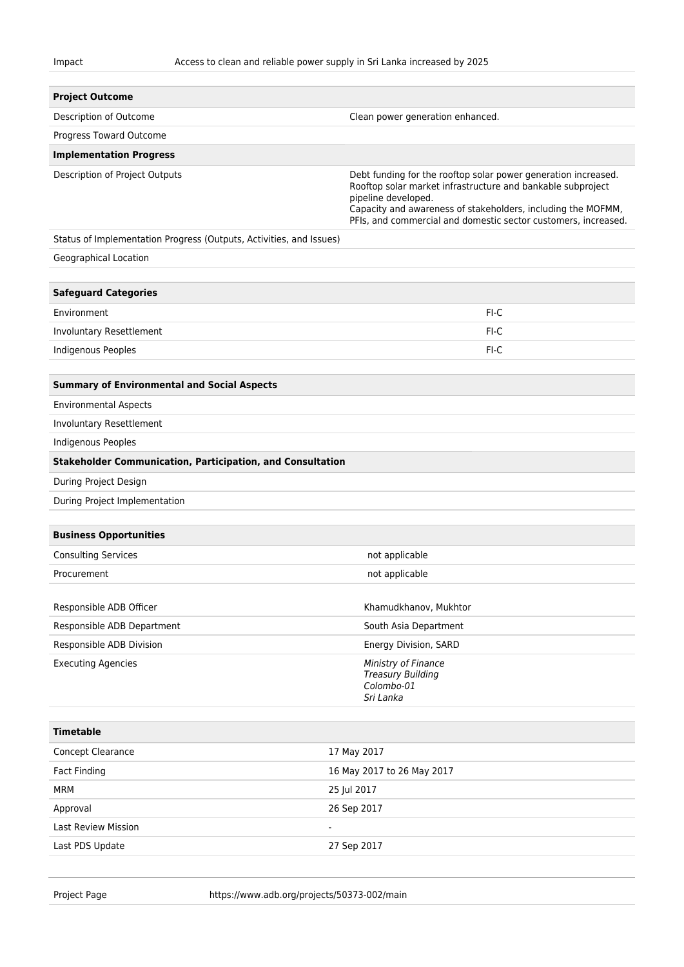| <b>Project Outcome</b>                                              |                                                                                                                                                                                                                                                                                        |  |  |
|---------------------------------------------------------------------|----------------------------------------------------------------------------------------------------------------------------------------------------------------------------------------------------------------------------------------------------------------------------------------|--|--|
| Description of Outcome                                              | Clean power generation enhanced.                                                                                                                                                                                                                                                       |  |  |
| Progress Toward Outcome                                             |                                                                                                                                                                                                                                                                                        |  |  |
| <b>Implementation Progress</b>                                      |                                                                                                                                                                                                                                                                                        |  |  |
| Description of Project Outputs                                      | Debt funding for the rooftop solar power generation increased.<br>Rooftop solar market infrastructure and bankable subproject<br>pipeline developed.<br>Capacity and awareness of stakeholders, including the MOFMM,<br>PFIs, and commercial and domestic sector customers, increased. |  |  |
| Status of Implementation Progress (Outputs, Activities, and Issues) |                                                                                                                                                                                                                                                                                        |  |  |
| Geographical Location                                               |                                                                                                                                                                                                                                                                                        |  |  |
|                                                                     |                                                                                                                                                                                                                                                                                        |  |  |
| <b>Safeguard Categories</b>                                         |                                                                                                                                                                                                                                                                                        |  |  |
| Environment                                                         | FI-C                                                                                                                                                                                                                                                                                   |  |  |
| Involuntary Resettlement                                            | FI-C                                                                                                                                                                                                                                                                                   |  |  |
| Indigenous Peoples                                                  | FI-C                                                                                                                                                                                                                                                                                   |  |  |
|                                                                     |                                                                                                                                                                                                                                                                                        |  |  |
| <b>Summary of Environmental and Social Aspects</b>                  |                                                                                                                                                                                                                                                                                        |  |  |
| <b>Environmental Aspects</b>                                        |                                                                                                                                                                                                                                                                                        |  |  |
| Involuntary Resettlement                                            |                                                                                                                                                                                                                                                                                        |  |  |
| Indigenous Peoples                                                  |                                                                                                                                                                                                                                                                                        |  |  |
| <b>Stakeholder Communication, Participation, and Consultation</b>   |                                                                                                                                                                                                                                                                                        |  |  |
| During Project Design                                               |                                                                                                                                                                                                                                                                                        |  |  |
| During Project Implementation                                       |                                                                                                                                                                                                                                                                                        |  |  |
| <b>Business Opportunities</b>                                       |                                                                                                                                                                                                                                                                                        |  |  |
| <b>Consulting Services</b>                                          | not applicable                                                                                                                                                                                                                                                                         |  |  |
| Procurement                                                         | not applicable                                                                                                                                                                                                                                                                         |  |  |
|                                                                     |                                                                                                                                                                                                                                                                                        |  |  |
| Responsible ADB Officer                                             | Khamudkhanov, Mukhtor                                                                                                                                                                                                                                                                  |  |  |
| Responsible ADB Department                                          | South Asia Department                                                                                                                                                                                                                                                                  |  |  |
| Responsible ADB Division                                            | Energy Division, SARD                                                                                                                                                                                                                                                                  |  |  |
| <b>Executing Agencies</b>                                           | Ministry of Finance<br><b>Treasury Building</b><br>Colombo-01<br>Sri Lanka                                                                                                                                                                                                             |  |  |
| <b>Timetable</b>                                                    |                                                                                                                                                                                                                                                                                        |  |  |
| Concept Clearance                                                   | 17 May 2017                                                                                                                                                                                                                                                                            |  |  |
| <b>Fact Finding</b>                                                 | 16 May 2017 to 26 May 2017                                                                                                                                                                                                                                                             |  |  |
| <b>MRM</b>                                                          | 25 Jul 2017                                                                                                                                                                                                                                                                            |  |  |
| Approval                                                            | 26 Sep 2017                                                                                                                                                                                                                                                                            |  |  |
| <b>Last Review Mission</b><br>$\blacksquare$                        |                                                                                                                                                                                                                                                                                        |  |  |
| Last PDS Update                                                     | 27 Sep 2017                                                                                                                                                                                                                                                                            |  |  |